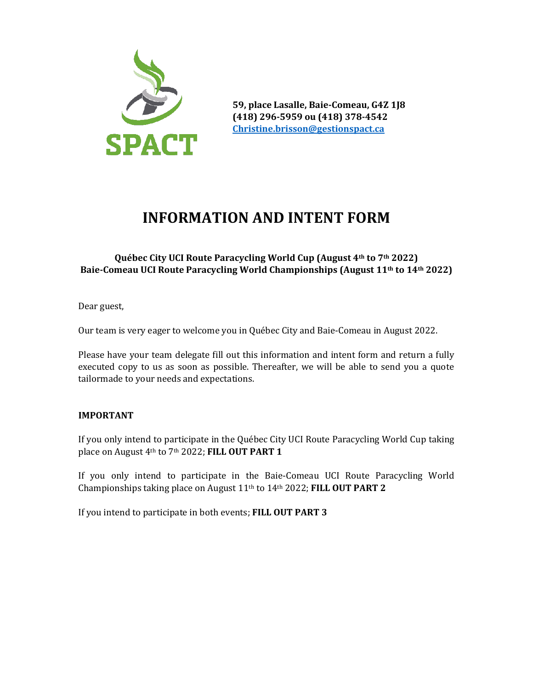

**59, place Lasalle, Baie-Comeau, G4Z 1J8 (418) 296-5959 ou (418) 378-4542 [Christine.brisson@gestionspact.ca](mailto:Christine.brisson@gestionspact.ca)**

# **INFORMATION AND INTENT FORM**

### **Québec City UCI Route Paracycling World Cup (August 4th to 7th 2022) Baie-Comeau UCI Route Paracycling World Championships (August 11th to 14th 2022)**

Dear guest,

Our team is very eager to welcome you in Québec City and Baie-Comeau in August 2022.

Please have your team delegate fill out this information and intent form and return a fully executed copy to us as soon as possible. Thereafter, we will be able to send you a quote tailormade to your needs and expectations.

#### **IMPORTANT**

If you only intend to participate in the Québec City UCI Route Paracycling World Cup taking place on August 4th to 7th 2022; **FILL OUT PART 1**

If you only intend to participate in the Baie-Comeau UCI Route Paracycling World Championships taking place on August 11th to 14th 2022; **FILL OUT PART 2**

If you intend to participate in both events; **FILL OUT PART 3**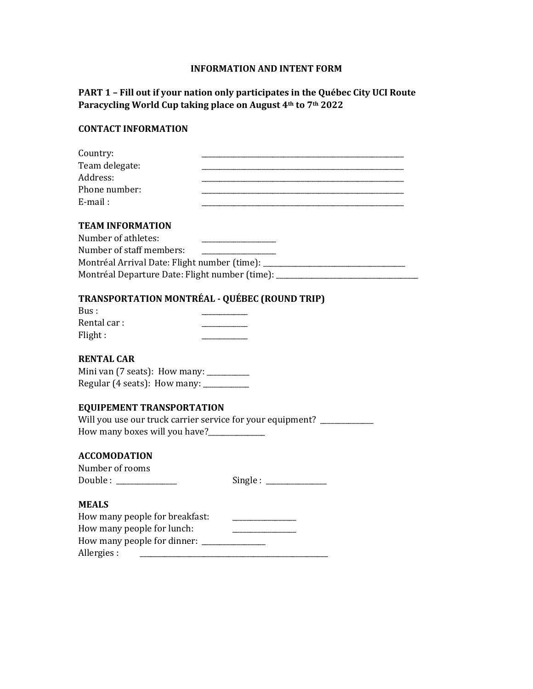#### **INFORMATION AND INTENT FORM**

## **PART 1 – Fill out if your nation only participates in the Québec City UCI Route Paracycling World Cup taking place on August 4th to 7th 2022**

## **CONTACT INFORMATION**

| Country:                                                                                                                             |
|--------------------------------------------------------------------------------------------------------------------------------------|
| Team delegate:                                                                                                                       |
| Address:                                                                                                                             |
| Phone number:                                                                                                                        |
| E-mail:                                                                                                                              |
|                                                                                                                                      |
| <b>TEAM INFORMATION</b>                                                                                                              |
| Number of athletes:<br>the control of the control of the control of the control of the control of                                    |
| Number of staff members:                                                                                                             |
| Montréal Arrival Date: Flight number (time): ___________________________________                                                     |
| Montréal Departure Date: Flight number (time): _________________________________                                                     |
|                                                                                                                                      |
| <b>TRANSPORTATION MONTRÉAL - QUÉBEC (ROUND TRIP)</b>                                                                                 |
| Bus:                                                                                                                                 |
| Rental car:                                                                                                                          |
| Flight:                                                                                                                              |
|                                                                                                                                      |
| <b>RENTAL CAR</b>                                                                                                                    |
| Mini van (7 seats): How many: _________                                                                                              |
| Regular (4 seats): How many: __________                                                                                              |
|                                                                                                                                      |
| <b>EQUIPEMENT TRANSPORTATION</b>                                                                                                     |
| Will you use our truck carrier service for your equipment? ___________                                                               |
| How many boxes will you have?_____________                                                                                           |
|                                                                                                                                      |
| <b>ACCOMODATION</b>                                                                                                                  |
| Number of rooms                                                                                                                      |
| Single:                                                                                                                              |
|                                                                                                                                      |
| <b>MEALS</b>                                                                                                                         |
| How many people for breakfast:                                                                                                       |
| How many people for lunch:                                                                                                           |
| How many people for dinner: ________________                                                                                         |
| Allergies:<br><u> 1989 - Johann Stein, marking fan de Fryske kunstner oantal fan de Fryske kunstner oantal fan de Fryske kunstne</u> |
|                                                                                                                                      |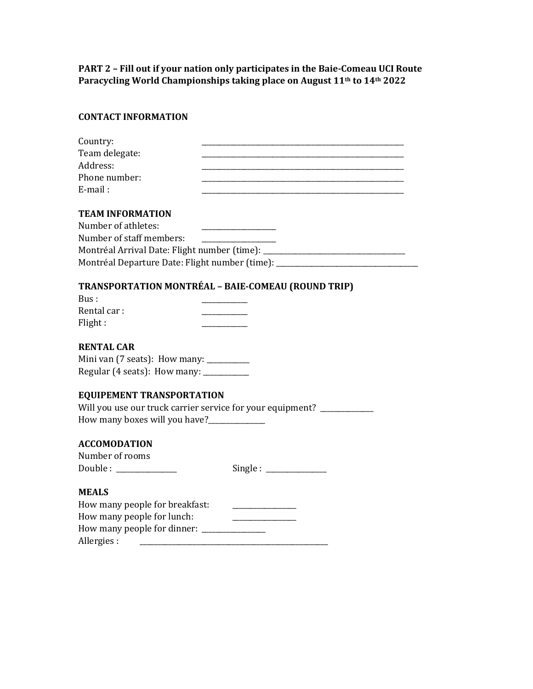**PART 2 – Fill out if your nation only participates in the Baie-Comeau UCI Route Paracycling World Championships taking place on August 11th to 14th 2022**

### **CONTACT INFORMATION**

| Country:                                                                                  |
|-------------------------------------------------------------------------------------------|
| Team delegate:                                                                            |
| Address:                                                                                  |
| Phone number:                                                                             |
| E-mail:                                                                                   |
|                                                                                           |
| <b>TEAM INFORMATION</b>                                                                   |
| Number of athletes:                                                                       |
| Number of staff members:                                                                  |
| Montréal Arrival Date: Flight number (time): ___________________________________          |
| Montréal Departure Date: Flight number (time): _________________________________          |
|                                                                                           |
| TRANSPORTATION MONTRÉAL - BAIE-COMEAU (ROUND TRIP)                                        |
| Rus:                                                                                      |
| Rental car:                                                                               |
| Flight:                                                                                   |
|                                                                                           |
| <b>RENTAL CAR</b>                                                                         |
| Mini van (7 seats): How many: _________                                                   |
| Regular (4 seats): How many: ___________                                                  |
|                                                                                           |
| <b>EQUIPEMENT TRANSPORTATION</b>                                                          |
| Will you use our truck carrier service for your equipment? __________                     |
| How many boxes will you have?______________                                               |
|                                                                                           |
| <b>ACCOMODATION</b>                                                                       |
| Number of rooms                                                                           |
| $Single: ____________$<br>Double : _____________                                          |
|                                                                                           |
| <b>MEALS</b>                                                                              |
| How many people for breakfast:<br><u>and the control of the control of the control of</u> |
| How many people for lunch:                                                                |
|                                                                                           |
| Allergies:                                                                                |
|                                                                                           |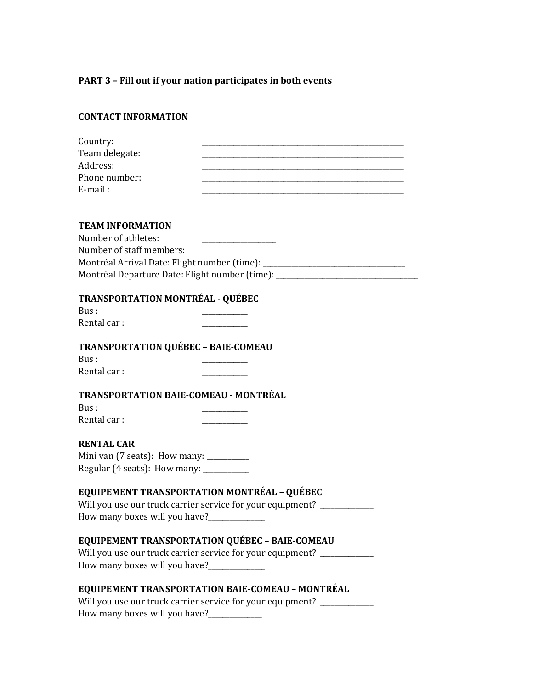# **PART 3 – Fill out if your nation participates in both events**

| <b>CONTACT INFORMATION</b>                                                                               |                                                                                                                                                                      |
|----------------------------------------------------------------------------------------------------------|----------------------------------------------------------------------------------------------------------------------------------------------------------------------|
| Country:<br>Team delegate:<br>Address:<br>Phone number:<br>E-mail:                                       |                                                                                                                                                                      |
| <b>TEAM INFORMATION</b><br>Number of athletes:<br>Number of staff members:                               | Montréal Arrival Date: Flight number (time): ___________________________________<br>Montréal Departure Date: Flight number (time): _________________________________ |
| <b>TRANSPORTATION MONTRÉAL - QUÉBEC</b><br>Bus:<br>Rental car:                                           |                                                                                                                                                                      |
| <b>TRANSPORTATION QUÉBEC - BAIE-COMEAU</b><br>Bus:<br>Rental car:                                        |                                                                                                                                                                      |
| TRANSPORTATION BAIE-COMEAU - MONTRÉAL<br>Bus:<br>Rental car:                                             |                                                                                                                                                                      |
| <b>RENTAL CAR</b><br>Mini van (7 seats): How many: _________<br>Regular (4 seats): How many: ___________ |                                                                                                                                                                      |
| EQUIPEMENT TRANSPORTATION MONTRÉAL - QUÉBEC                                                              | Will you use our truck carrier service for your equipment? __________                                                                                                |
|                                                                                                          | EQUIPEMENT TRANSPORTATION QUÉBEC - BAIE-COMEAU<br>Will you use our truck carrier service for your equipment? ___________                                             |
| Low many hoves will you hove?                                                                            | EQUIPEMENT TRANSPORTATION BAIE-COMEAU - MONTRÉAL<br>Will you use our truck carrier service for your equipment? ____________                                          |

How many boxes will you have?\_\_\_\_\_\_\_\_\_\_\_\_\_\_\_